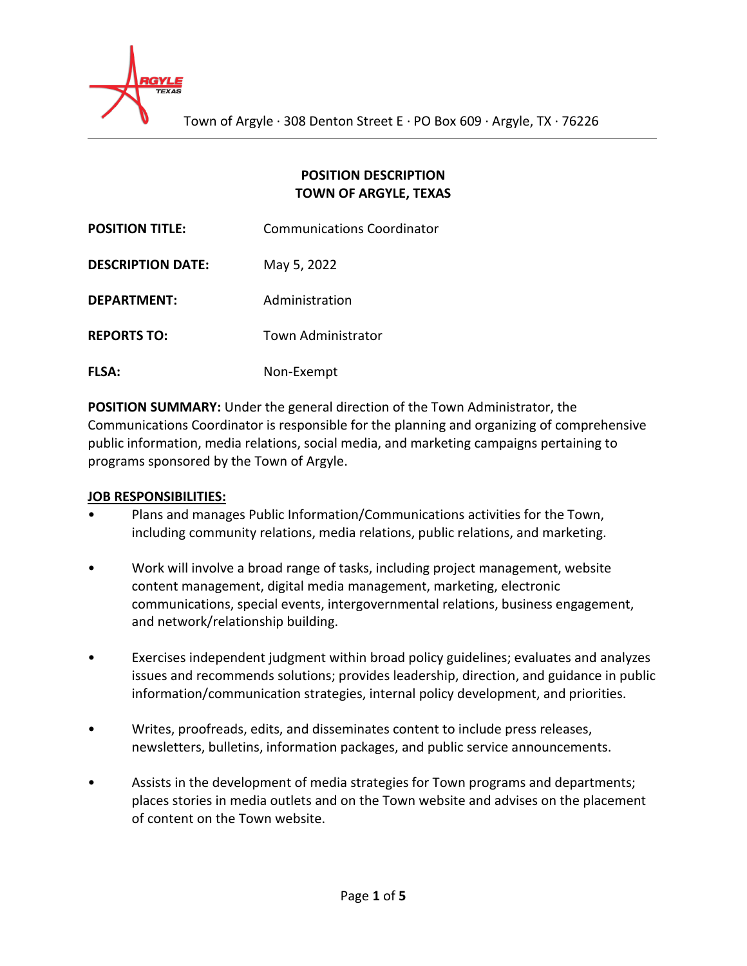

### **POSITION DESCRIPTION TOWN OF ARGYLE, TEXAS**

| <b>POSITION TITLE:</b>   | <b>Communications Coordinator</b> |  |
|--------------------------|-----------------------------------|--|
| <b>DESCRIPTION DATE:</b> | May 5, 2022                       |  |
| DEPARTMENT:              | Administration                    |  |
| <b>REPORTS TO:</b>       | <b>Town Administrator</b>         |  |
| <b>FLSA:</b>             | Non-Exempt                        |  |

**POSITION SUMMARY:** Under the general direction of the Town Administrator, the Communications Coordinator is responsible for the planning and organizing of comprehensive public information, media relations, social media, and marketing campaigns pertaining to programs sponsored by the Town of Argyle.

### **JOB RESPONSIBILITIES:**

- Plans and manages Public Information/Communications activities for the Town, including community relations, media relations, public relations, and marketing.
- Work will involve a broad range of tasks, including project management, website content management, digital media management, marketing, electronic communications, special events, intergovernmental relations, business engagement, and network/relationship building.
- Exercises independent judgment within broad policy guidelines; evaluates and analyzes issues and recommends solutions; provides leadership, direction, and guidance in public information/communication strategies, internal policy development, and priorities.
- Writes, proofreads, edits, and disseminates content to include press releases, newsletters, bulletins, information packages, and public service announcements.
- Assists in the development of media strategies for Town programs and departments; places stories in media outlets and on the Town website and advises on the placement of content on the Town website.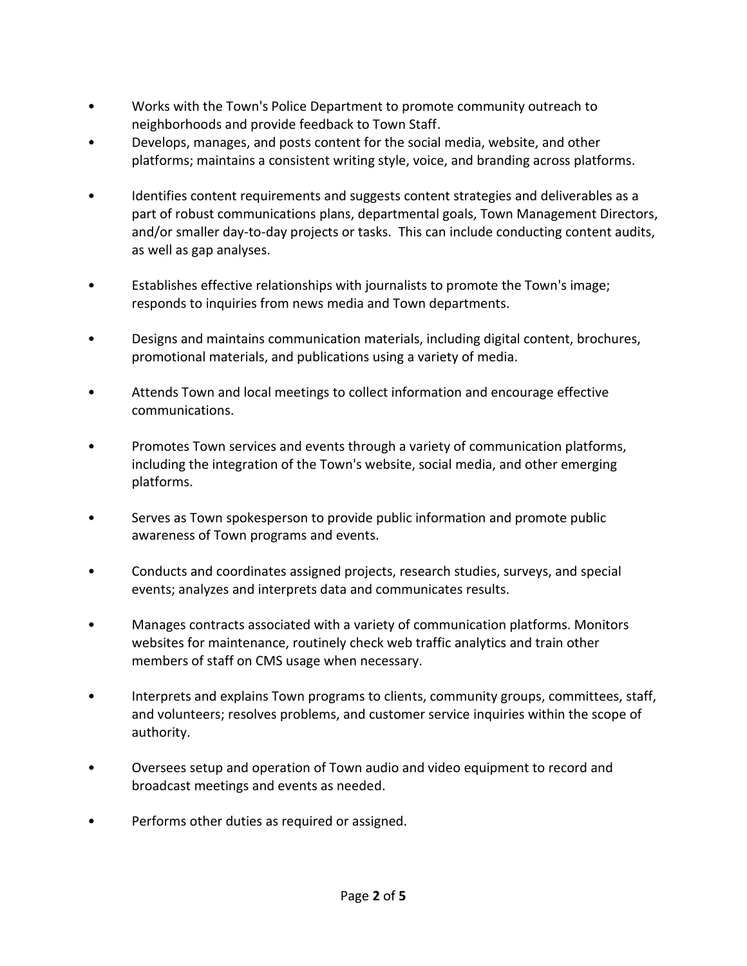- Works with the Town's Police Department to promote community outreach to neighborhoods and provide feedback to Town Staff.
- Develops, manages, and posts content for the social media, website, and other platforms; maintains a consistent writing style, voice, and branding across platforms.
- Identifies content requirements and suggests content strategies and deliverables as a part of robust communications plans, departmental goals, Town Management Directors, and/or smaller day-to-day projects or tasks. This can include conducting content audits, as well as gap analyses.
- Establishes effective relationships with journalists to promote the Town's image; responds to inquiries from news media and Town departments.
- Designs and maintains communication materials, including digital content, brochures, promotional materials, and publications using a variety of media.
- Attends Town and local meetings to collect information and encourage effective communications.
- Promotes Town services and events through a variety of communication platforms, including the integration of the Town's website, social media, and other emerging platforms.
- Serves as Town spokesperson to provide public information and promote public awareness of Town programs and events.
- Conducts and coordinates assigned projects, research studies, surveys, and special events; analyzes and interprets data and communicates results.
- Manages contracts associated with a variety of communication platforms. Monitors websites for maintenance, routinely check web traffic analytics and train other members of staff on CMS usage when necessary.
- Interprets and explains Town programs to clients, community groups, committees, staff, and volunteers; resolves problems, and customer service inquiries within the scope of authority.
- Oversees setup and operation of Town audio and video equipment to record and broadcast meetings and events as needed.
- Performs other duties as required or assigned.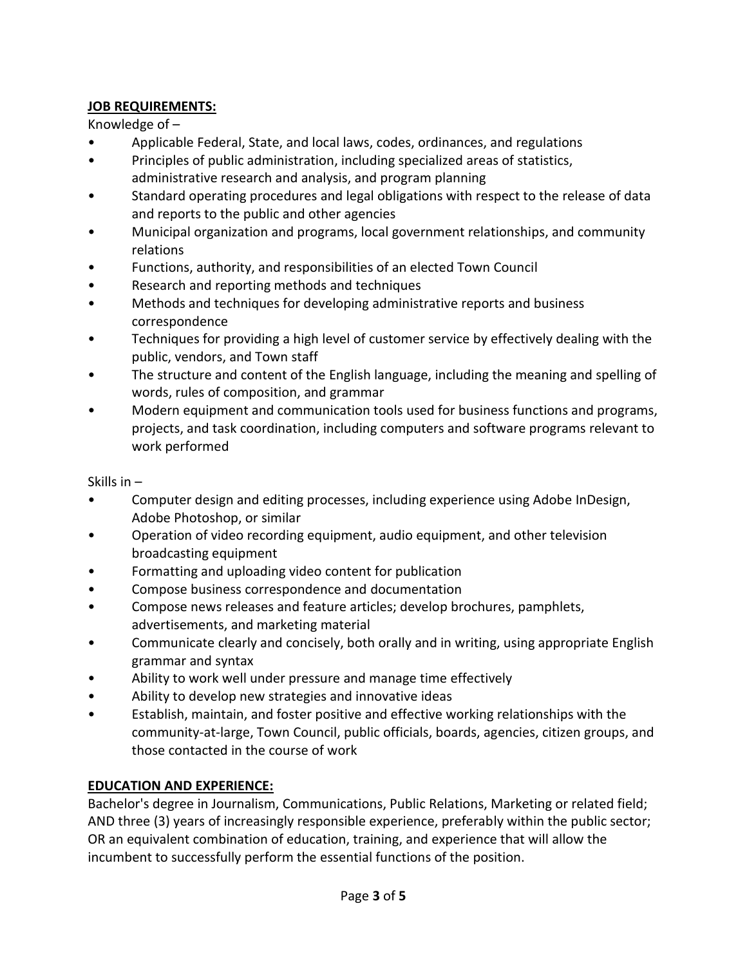## **JOB REQUIREMENTS:**

Knowledge of –

- Applicable Federal, State, and local laws, codes, ordinances, and regulations
- Principles of public administration, including specialized areas of statistics, administrative research and analysis, and program planning
- Standard operating procedures and legal obligations with respect to the release of data and reports to the public and other agencies
- Municipal organization and programs, local government relationships, and community relations
- Functions, authority, and responsibilities of an elected Town Council
- Research and reporting methods and techniques
- Methods and techniques for developing administrative reports and business correspondence
- Techniques for providing a high level of customer service by effectively dealing with the public, vendors, and Town staff
- The structure and content of the English language, including the meaning and spelling of words, rules of composition, and grammar
- Modern equipment and communication tools used for business functions and programs, projects, and task coordination, including computers and software programs relevant to work performed

Skills in –

- Computer design and editing processes, including experience using Adobe InDesign, Adobe Photoshop, or similar
- Operation of video recording equipment, audio equipment, and other television broadcasting equipment
- Formatting and uploading video content for publication
- Compose business correspondence and documentation
- Compose news releases and feature articles; develop brochures, pamphlets, advertisements, and marketing material
- Communicate clearly and concisely, both orally and in writing, using appropriate English grammar and syntax
- Ability to work well under pressure and manage time effectively
- Ability to develop new strategies and innovative ideas
- Establish, maintain, and foster positive and effective working relationships with the community-at-large, Town Council, public officials, boards, agencies, citizen groups, and those contacted in the course of work

# **EDUCATION AND EXPERIENCE:**

Bachelor's degree in Journalism, Communications, Public Relations, Marketing or related field; AND three (3) years of increasingly responsible experience, preferably within the public sector; OR an equivalent combination of education, training, and experience that will allow the incumbent to successfully perform the essential functions of the position.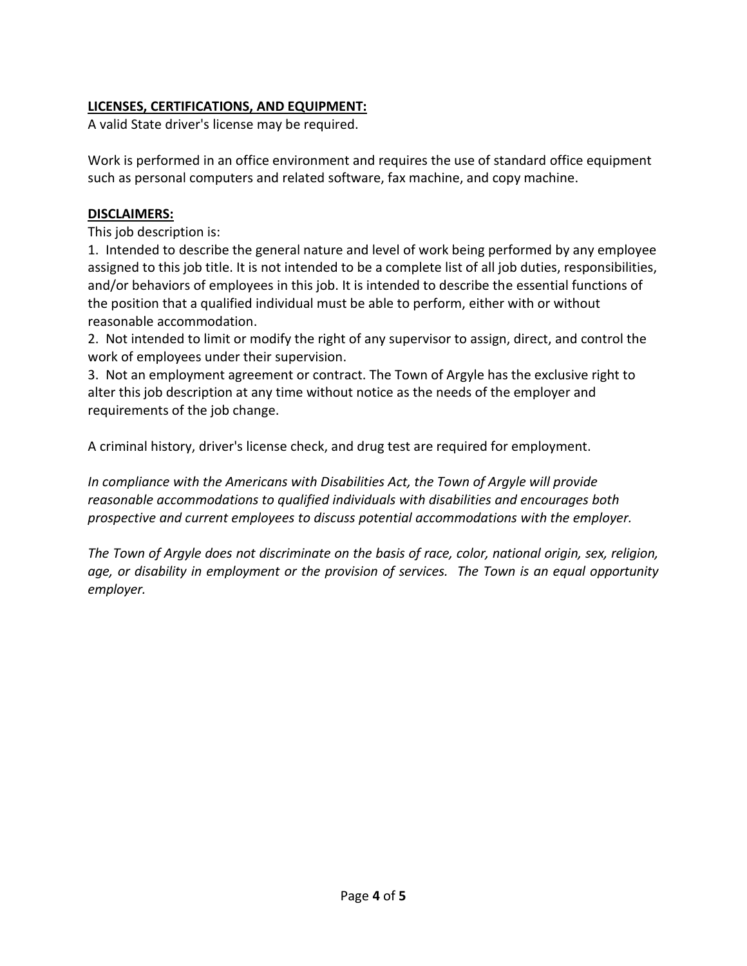## **LICENSES, CERTIFICATIONS, AND EQUIPMENT:**

A valid State driver's license may be required.

Work is performed in an office environment and requires the use of standard office equipment such as personal computers and related software, fax machine, and copy machine.

### **DISCLAIMERS:**

This job description is:

1. Intended to describe the general nature and level of work being performed by any employee assigned to this job title. It is not intended to be a complete list of all job duties, responsibilities, and/or behaviors of employees in this job. It is intended to describe the essential functions of the position that a qualified individual must be able to perform, either with or without reasonable accommodation.

2. Not intended to limit or modify the right of any supervisor to assign, direct, and control the work of employees under their supervision.

3. Not an employment agreement or contract. The Town of Argyle has the exclusive right to alter this job description at any time without notice as the needs of the employer and requirements of the job change.

A criminal history, driver's license check, and drug test are required for employment.

*In compliance with the Americans with Disabilities Act, the Town of Argyle will provide reasonable accommodations to qualified individuals with disabilities and encourages both prospective and current employees to discuss potential accommodations with the employer.*

*The Town of Argyle does not discriminate on the basis of race, color, national origin, sex, religion, age, or disability in employment or the provision of services. The Town is an equal opportunity employer.*